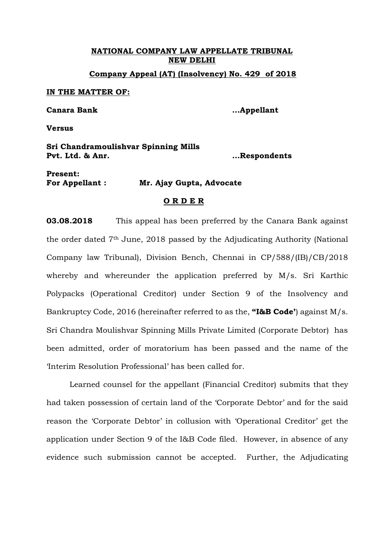**NATIONAL COMPANY LAW APPELLATE TRIBUNAL NEW DELHI Company Appeal (AT) (Insolvency) No. 429 of 2018**

**IN THE MATTER OF:**

**Canara Bank …Appellant**

**Versus**

**Sri Chandramoulishvar Spinning Mills Pvt. Ltd. & Anr. …Respondents**

**Present: For Appellant : Mr. Ajay Gupta, Advocate**

## **O R D E R**

**03.08.2018** This appeal has been preferred by the Canara Bank against the order dated 7th June, 2018 passed by the Adjudicating Authority (National Company law Tribunal), Division Bench, Chennai in CP/588/(IB)/CB/2018 whereby and whereunder the application preferred by M/s. Sri Karthic Polypacks (Operational Creditor) under Section 9 of the Insolvency and Bankruptcy Code, 2016 (hereinafter referred to as the, **"I&B Code'**) against M/s. Sri Chandra Moulishvar Spinning Mills Private Limited (Corporate Debtor) has been admitted, order of moratorium has been passed and the name of the 'Interim Resolution Professional' has been called for.

Learned counsel for the appellant (Financial Creditor) submits that they had taken possession of certain land of the 'Corporate Debtor' and for the said reason the 'Corporate Debtor' in collusion with 'Operational Creditor' get the application under Section 9 of the I&B Code filed. However, in absence of any evidence such submission cannot be accepted. Further, the Adjudicating